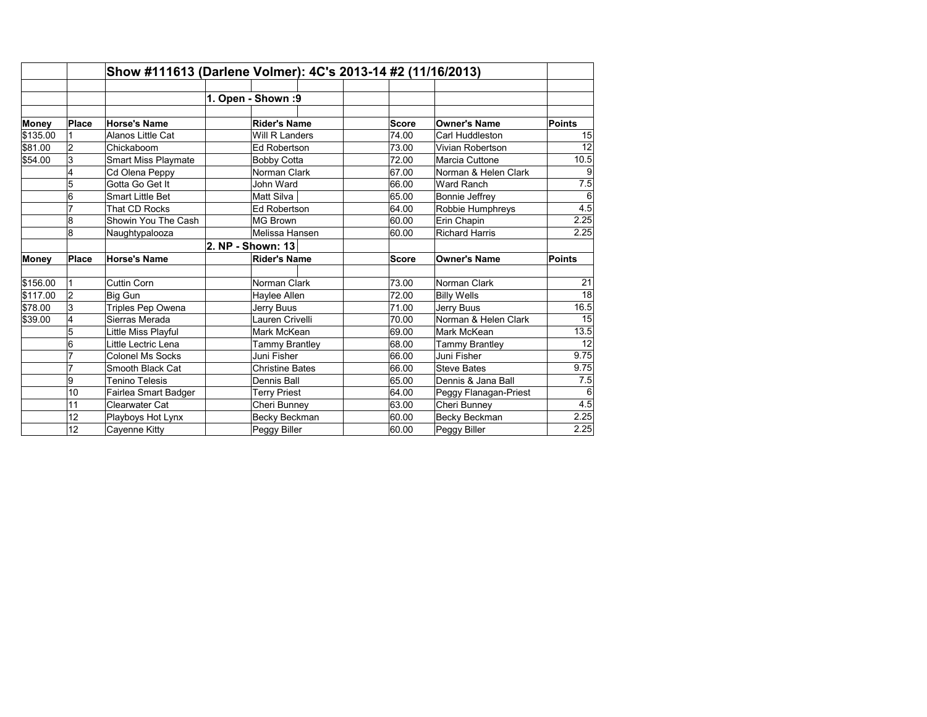|          |                | Show #111613 (Darlene Volmer): 4C's 2013-14 #2 (11/16/2013) |  |                        |  |  |              |                       |                   |
|----------|----------------|-------------------------------------------------------------|--|------------------------|--|--|--------------|-----------------------|-------------------|
|          |                |                                                             |  |                        |  |  |              |                       |                   |
|          |                |                                                             |  | 1. Open - Shown :9     |  |  |              |                       |                   |
|          |                |                                                             |  |                        |  |  |              |                       |                   |
| Money    | <b>Place</b>   | <b>Horse's Name</b>                                         |  | Rider's Name           |  |  | <b>Score</b> | <b>Owner's Name</b>   | <b>Points</b>     |
| \$135.00 |                | Alanos Little Cat                                           |  | Will R Landers         |  |  | 74.00        | Carl Huddleston       | 15                |
| \$81.00  | $\overline{2}$ | Chickaboom                                                  |  | <b>Ed Robertson</b>    |  |  | 73.00        | Vivian Robertson      | 12                |
| \$54.00  | 3              | Smart Miss Playmate                                         |  | <b>Bobby Cotta</b>     |  |  | 72.00        | Marcia Cuttone        | 10.5              |
|          | 4              | Cd Olena Peppy                                              |  | Norman Clark           |  |  | 67.00        | Norman & Helen Clark  | 9                 |
|          | 5              | Gotta Go Get It                                             |  | John Ward              |  |  | 66.00        | Ward Ranch            | 7.5               |
|          | 6              | <b>Smart Little Bet</b>                                     |  | Matt Silva             |  |  | 65.00        | Bonnie Jeffrey        | 6                 |
|          | $\overline{7}$ | That CD Rocks                                               |  | Ed Robertson           |  |  | 64.00        | Robbie Humphreys      | 4.5               |
|          | 8              | Showin You The Cash                                         |  | MG Brown               |  |  | 60.00        | Erin Chapin           | 2.25              |
|          | 8              | Naughtypalooza                                              |  | Melissa Hansen         |  |  | 60.00        | <b>Richard Harris</b> | 2.25              |
|          |                |                                                             |  | 2. NP - Shown: 13      |  |  |              |                       |                   |
| Money    | Place          | <b>Horse's Name</b>                                         |  | Rider's Name           |  |  | <b>Score</b> | <b>Owner's Name</b>   | <b>Points</b>     |
|          |                |                                                             |  |                        |  |  |              |                       |                   |
| \$156.00 |                | Cuttin Corn                                                 |  | Norman Clark           |  |  | 73.00        | Norman Clark          | 21                |
| \$117.00 | $\overline{2}$ | Big Gun                                                     |  | Haylee Allen           |  |  | 72.00        | <b>Billy Wells</b>    | 18                |
| \$78.00  | 3              | Triples Pep Owena                                           |  | Jerry Buus             |  |  | 71.00        | Jerry Buus            | 16.5              |
| \$39.00  | 4              | Sierras Merada                                              |  | Lauren Crivelli        |  |  | 70.00        | Norman & Helen Clark  | 15                |
|          | 5              | Little Miss Playful                                         |  | Mark McKean            |  |  | 69.00        | Mark McKean           | $\overline{13.5}$ |
|          | 6              | Little Lectric Lena                                         |  | Tammy Brantley         |  |  | 68.00        | Tammy Brantley        | 12                |
|          | $\overline{7}$ | <b>Colonel Ms Socks</b>                                     |  | Juni Fisher            |  |  | 66.00        | Juni Fisher           | 9.75              |
|          | $\overline{7}$ | Smooth Black Cat                                            |  | <b>Christine Bates</b> |  |  | 66.00        | <b>Steve Bates</b>    | 9.75              |
|          | 9              | <b>Tenino Telesis</b>                                       |  | Dennis Ball            |  |  | 65.00        | Dennis & Jana Ball    | 7.5               |
|          | 10             | Fairlea Smart Badger                                        |  | <b>Terry Priest</b>    |  |  | 64.00        | Peggy Flanagan-Priest | 6                 |
|          | 11             | Clearwater Cat                                              |  | Cheri Bunney           |  |  | 63.00        | Cheri Bunney          | 4.5               |
|          | 12             | Playboys Hot Lynx                                           |  | Becky Beckman          |  |  | 60.00        | Becky Beckman         | 2.25              |
|          | 12             | Cayenne Kitty                                               |  | Peggy Biller           |  |  | 60.00        | Peggy Biller          | 2.25              |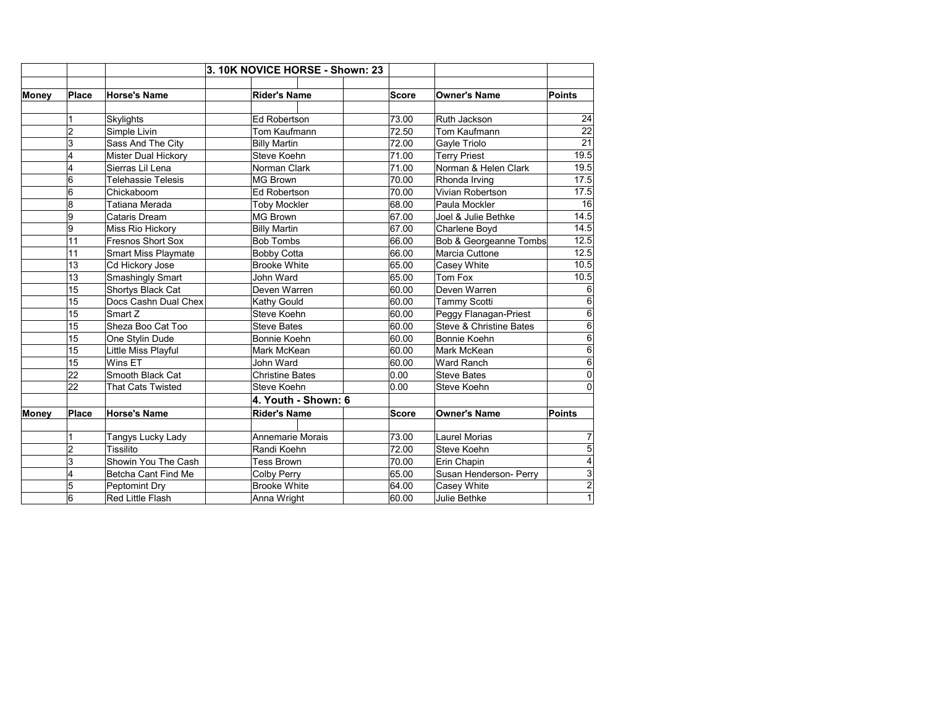|              |                 |                            | 3. 10K NOVICE HORSE - Shown: 23 |                                                                 |              |                         |                |
|--------------|-----------------|----------------------------|---------------------------------|-----------------------------------------------------------------|--------------|-------------------------|----------------|
| <b>Money</b> | Place           | <b>Horse's Name</b>        | <b>Rider's Name</b>             |                                                                 | <b>Score</b> | <b>Owner's Name</b>     | <b>Points</b>  |
|              |                 |                            |                                 |                                                                 |              |                         |                |
|              | 1               | Skylights                  | Ed Robertson                    |                                                                 | 73.00        | Ruth Jackson            | 24             |
|              | 2               | Simple Livin               | Tom Kaufmann                    |                                                                 | 72.50        | Tom Kaufmann            | 22             |
|              | 3               | Sass And The City          | <b>Billy Martin</b>             |                                                                 | 72.00        | Gayle Triolo            | 21             |
|              | 4               | Mister Dual Hickory        | Steve Koehn                     |                                                                 | 71.00        | <b>Terry Priest</b>     | 19.5           |
|              | 4               | Sierras Lil Lena           | Norman Clark                    |                                                                 | 71.00        | Norman & Helen Clark    | 19.5           |
|              | 6               | <b>Telehassie Telesis</b>  | <b>MG Brown</b>                 |                                                                 | 70.00        | Rhonda Irving           | 17.5           |
|              | 6               | Chickaboom                 | Ed Robertson                    |                                                                 | 70.00        | Vivian Robertson        | 17.5           |
|              | 8               | Tatiana Merada             | <b>Toby Mockler</b>             |                                                                 | 68.00        | Paula Mockler           | 16             |
|              | 9               | Cataris Dream              | <b>MG Brown</b>                 |                                                                 | 67.00        | Joel & Julie Bethke     | 14.5           |
|              | 9               | Miss Rio Hickory           | <b>Billy Martin</b>             |                                                                 | 67.00        | Charlene Boyd           | 14.5           |
|              | 11              | <b>Fresnos Short Sox</b>   | <b>Bob Tombs</b>                |                                                                 | 66.00        | Bob & Georgeanne Tombs  | 12.5           |
|              | 11              | <b>Smart Miss Playmate</b> | <b>Bobby Cotta</b>              |                                                                 | 66.00        | Marcia Cuttone          | 12.5           |
|              | 13              | Cd Hickory Jose            |                                 | <b>Brooke White</b><br>John Ward<br>Deven Warren<br>Kathy Gould | 65.00        | Casey White             | 10.5           |
|              | 13              | Smashingly Smart           |                                 |                                                                 | 65.00        | Tom Fox                 | 10.5           |
|              | 15              | Shortys Black Cat          |                                 |                                                                 | 60.00        | Deven Warren            | 6              |
|              | 15              | Docs Cashn Dual Chex       |                                 |                                                                 | 60.00        | Tammy Scotti            | 6              |
|              | 15              | Smart Z                    | Steve Koehn                     |                                                                 | 60.00        | Peggy Flanagan-Priest   | 6              |
|              | 15              | Sheza Boo Cat Too          | <b>Steve Bates</b>              |                                                                 | 60.00        | Steve & Christine Bates | 6              |
|              | 15              | One Stylin Dude            | Bonnie Koehn                    |                                                                 | 60.00        | Bonnie Koehn            | 6              |
|              | 15              | Little Miss Playful        | Mark McKean                     |                                                                 | 60.00        | Mark McKean             | 6              |
|              | 15              | Wins ET                    | John Ward                       |                                                                 | 60.00        | Ward Ranch              | 6              |
|              | $\overline{22}$ | Smooth Black Cat           | <b>Christine Bates</b>          |                                                                 | 0.00         | <b>Steve Bates</b>      | $\Omega$       |
|              | 22              | <b>That Cats Twisted</b>   | Steve Koehn                     |                                                                 | 0.00         | Steve Koehn             | $\Omega$       |
|              |                 |                            |                                 | 4. Youth - Shown: 6                                             |              |                         |                |
| Money        | Place           | <b>Horse's Name</b>        | <b>Rider's Name</b>             |                                                                 | <b>Score</b> | <b>Owner's Name</b>     | <b>Points</b>  |
|              |                 |                            |                                 |                                                                 |              |                         |                |
|              | 1               | Tangys Lucky Lady          | Annemarie Morais                |                                                                 | 73.00        | <b>Laurel Morias</b>    | 7              |
|              | 2               | <b>Tissilito</b>           | Randi Koehn                     |                                                                 | 72.00        | Steve Koehn             | 5              |
|              | 3               | Showin You The Cash        | <b>Tess Brown</b>               |                                                                 | 70.00        | Erin Chapin             | 4              |
|              | 4               | Betcha Cant Find Me        | Colby Perry                     |                                                                 | 65.00        | Susan Henderson- Perry  | 3              |
|              | 5               | Peptomint Dry              | <b>Brooke White</b>             |                                                                 | 64.00        | Casey White             | $\overline{c}$ |
|              | 6               | <b>Red Little Flash</b>    | Anna Wright                     |                                                                 | 60.00        | Julie Bethke            | 1              |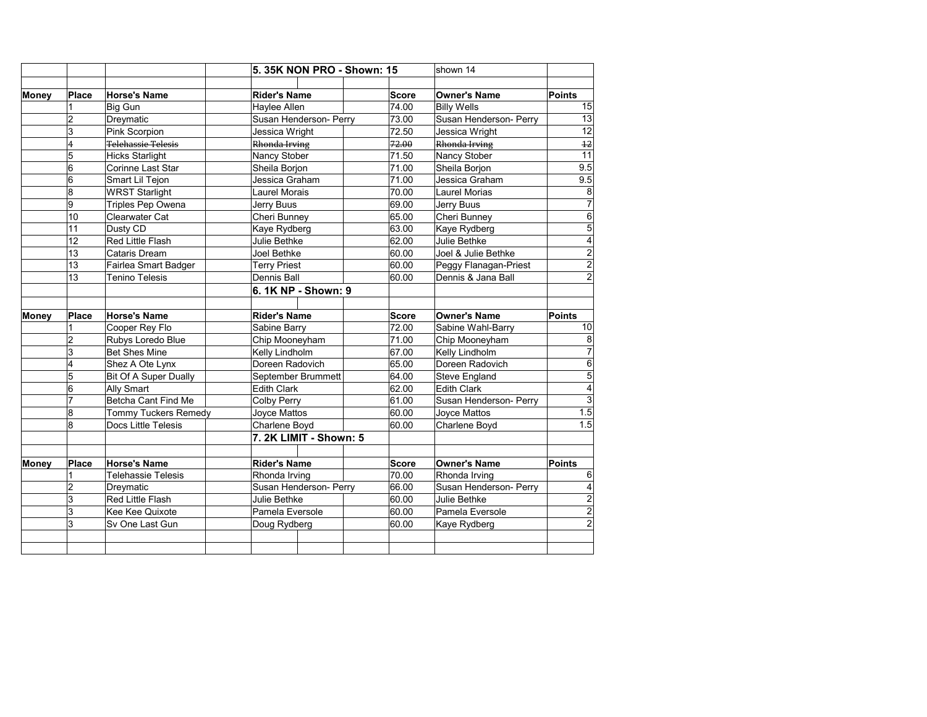|       |                     |                                   | 5.35K NON PRO - Shown: 15               |              | shown 14               |                                                                                                                                                              |
|-------|---------------------|-----------------------------------|-----------------------------------------|--------------|------------------------|--------------------------------------------------------------------------------------------------------------------------------------------------------------|
|       |                     |                                   |                                         |              |                        |                                                                                                                                                              |
| Money | <b>Place</b>        | <b>Horse's Name</b>               | <b>Rider's Name</b>                     | <b>Score</b> | <b>Owner's Name</b>    | <b>Points</b>                                                                                                                                                |
|       | 1                   | Big Gun                           | Haylee Allen                            | 74.00        | <b>Billy Wells</b>     | 15                                                                                                                                                           |
|       | $\overline{c}$      | Dreymatic                         | Susan Henderson- Perry                  | 73.00        | Susan Henderson- Perry | 13                                                                                                                                                           |
|       | 3                   | Pink Scorpion                     | Jessica Wright                          | 72.50        | Jessica Wright         | 12                                                                                                                                                           |
|       | 4                   | Telehassie Telesis                | Rhonda Irving                           | 72.00        | Rhonda Irving          | 12                                                                                                                                                           |
|       | 5                   | <b>Hicks Starlight</b>            | Nancy Stober                            | 71.50        | Nancy Stober           | 11                                                                                                                                                           |
|       | 6                   | Corinne Last Star                 | Sheila Borjon                           | 71.00        | Sheila Borjon          | 9.5                                                                                                                                                          |
|       | 6                   | Smart Lil Tejon                   | Jessica Graham                          | 71.00        | Jessica Graham         | 9.5                                                                                                                                                          |
|       | $\overline{8}$      | <b>WRST Starlight</b>             | <b>Laurel Morais</b>                    | 70.00        | <b>Laurel Morias</b>   | $\overline{8}$                                                                                                                                               |
|       | 9                   | Triples Pep Owena                 | Jerry Buus                              | 69.00        | Jerry Buus             | $\overline{7}$                                                                                                                                               |
|       | 10                  | Clearwater Cat                    | Cheri Bunney                            | 65.00        | Cheri Bunney           | $\overline{6}$                                                                                                                                               |
|       | 11                  | Dusty CD                          | Kaye Rydberg                            | 63.00        | Kaye Rydberg           | $\overline{5}$                                                                                                                                               |
|       | 12                  | Red Little Flash                  | Julie Bethke                            | 62.00        | Julie Bethke           | $\overline{4}$                                                                                                                                               |
|       | 13                  | Cataris Dream                     | Joel Bethke                             | 60.00        | Joel & Julie Bethke    | $\overline{2}$                                                                                                                                               |
|       | 13                  | Fairlea Smart Badger              | <b>Terry Priest</b>                     | 60.00        | Peggy Flanagan-Priest  | $\overline{2}$                                                                                                                                               |
|       | 13                  | <b>Tenino Telesis</b>             | Dennis Ball                             | 60.00        | Dennis & Jana Ball     | $\overline{2}$                                                                                                                                               |
|       |                     |                                   | 6. 1K NP - Shown: 9                     |              |                        |                                                                                                                                                              |
| Money | <b>Place</b>        | <b>Horse's Name</b>               | <b>Rider's Name</b>                     | <b>Score</b> | <b>Owner's Name</b>    | Points                                                                                                                                                       |
|       | 1                   | Cooper Rey Flo                    | Sabine Barry                            | 72.00        | Sabine Wahl-Barry      | 10                                                                                                                                                           |
|       | $\overline{c}$      | Rubys Loredo Blue                 | Chip Mooneyham                          | 71.00        | Chip Mooneyham         | 8                                                                                                                                                            |
|       | 3                   | <b>Bet Shes Mine</b>              | Kelly Lindholm                          | 67.00        | Kelly Lindholm         | $\overline{7}$                                                                                                                                               |
|       | 4                   | Shez A Ote Lynx                   | Doreen Radovich                         | 65.00        | Doreen Radovich        | $\overline{6}$                                                                                                                                               |
|       |                     |                                   |                                         |              |                        |                                                                                                                                                              |
|       |                     |                                   |                                         |              |                        |                                                                                                                                                              |
|       | $\overline{5}$      | Bit Of A Super Dually             | September Brummett                      | 64.00        | Steve England          |                                                                                                                                                              |
|       | 6<br>$\overline{7}$ | Ally Smart<br>Betcha Cant Find Me | <b>Edith Clark</b>                      | 62.00        | <b>Edith Clark</b>     |                                                                                                                                                              |
|       |                     |                                   | <b>Colby Perry</b>                      | 61.00        | Susan Henderson- Perry |                                                                                                                                                              |
|       | 8                   | Tommy Tuckers Remedy              | Joyce Mattos                            | 60.00        | Joyce Mattos           |                                                                                                                                                              |
|       | 8                   | Docs Little Telesis               | Charlene Boyd<br>7. 2K LIMIT - Shown: 5 | 60.00        | Charlene Boyd          |                                                                                                                                                              |
|       |                     |                                   |                                         |              |                        |                                                                                                                                                              |
| Money | <b>Place</b>        | <b>Horse's Name</b>               | <b>Rider's Name</b>                     | <b>Score</b> | <b>Owner's Name</b>    | Points                                                                                                                                                       |
|       | 1                   | <b>Telehassie Telesis</b>         | Rhonda Irving                           | 70.00        | Rhonda Irving          |                                                                                                                                                              |
|       | $\overline{2}$      | Dreymatic                         | Susan Henderson- Perry                  | 66.00        | Susan Henderson- Perry |                                                                                                                                                              |
|       | 3                   | Red Little Flash                  | Julie Bethke                            | 60.00        | Julie Bethke           |                                                                                                                                                              |
|       | 3                   | Kee Kee Quixote                   | Pamela Eversole                         | 60.00        | Pamela Eversole        |                                                                                                                                                              |
|       | 3                   | Sv One Last Gun                   | Doug Rydberg                            | 60.00        | Kaye Rydberg           | $\overline{5}$<br>$\overline{4}$<br>$\overline{3}$<br>$\overline{1.5}$<br>1.5<br>6<br>$\left 4\right $<br>$\overline{a}$<br>$\overline{2}$<br>$\overline{2}$ |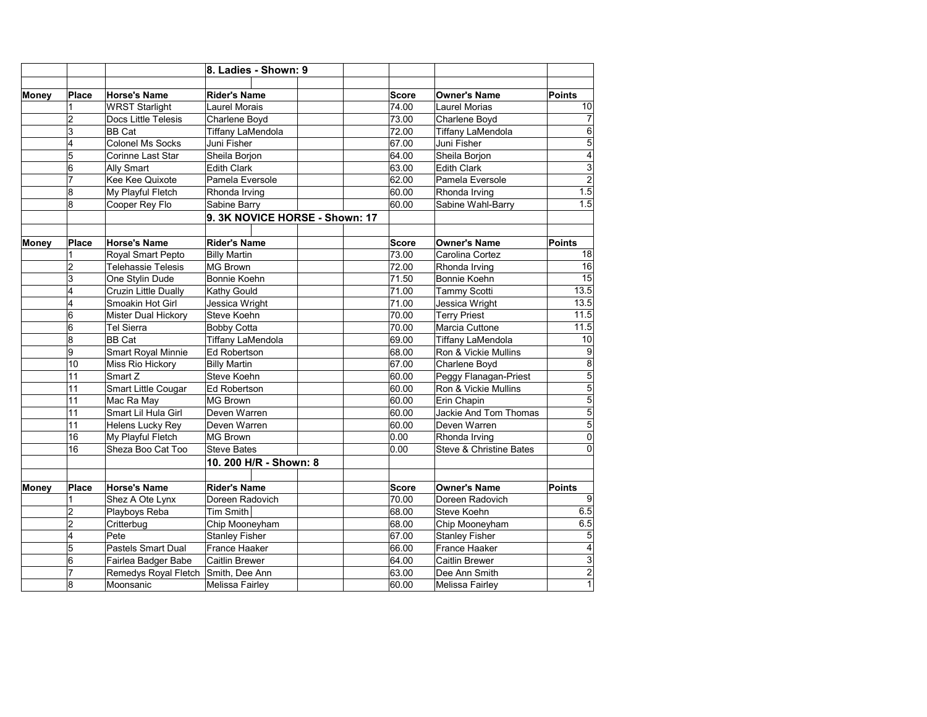|       |                         |                           | 8. Ladies - Shown: 9                                   |  |              |                                    |                         |
|-------|-------------------------|---------------------------|--------------------------------------------------------|--|--------------|------------------------------------|-------------------------|
|       |                         |                           |                                                        |  |              |                                    |                         |
| Money | Place                   | <b>Horse's Name</b>       | <b>Rider's Name</b>                                    |  | Score        | <b>Owner's Name</b>                | Points                  |
|       | 1                       | WRST Starlight            | <b>Laurel Morais</b>                                   |  | 74.00        | <b>Laurel Morias</b>               | 10                      |
|       | $\overline{c}$          | Docs Little Telesis       | Charlene Boyd                                          |  | 73.00        | Charlene Boyd                      | $\overline{7}$          |
|       | $\overline{3}$          | <b>BB</b> Cat             | <b>Tiffany LaMendola</b>                               |  | 72.00        | <b>Tiffany LaMendola</b>           | $\overline{6}$          |
|       | 4                       | Colonel Ms Socks          | Juni Fisher                                            |  | 67.00        | Juni Fisher                        | $\overline{5}$          |
|       | 5                       | Corinne Last Star         | Sheila Borjon                                          |  | 64.00        | Sheila Borjon                      | $\overline{4}$          |
|       | 6                       | Ally Smart                | <b>Edith Clark</b><br>Pamela Eversole<br>Rhonda Irving |  | 63.00        | <b>Edith Clark</b>                 | $\overline{3}$          |
|       | $\overline{7}$          | Kee Kee Quixote           |                                                        |  | 62.00        | Pamela Eversole                    | $\overline{2}$          |
|       | 8                       | My Playful Fletch         |                                                        |  | 60.00        | Rhonda Irving                      | 1.5                     |
|       | 8                       | Cooper Rey Flo            | Sabine Barry                                           |  | 60.00        | Sabine Wahl-Barry                  | 1.5                     |
|       |                         |                           | 9. 3K NOVICE HORSE - Shown: 17                         |  |              |                                    |                         |
| Money | Place                   | <b>Horse's Name</b>       | <b>Rider's Name</b>                                    |  | <b>Score</b> | <b>Owner's Name</b>                | Points                  |
|       | 1                       | <b>Royal Smart Pepto</b>  | <b>Billy Martin</b>                                    |  | 73.00        | Carolina Cortez                    | 18                      |
|       | $\overline{\mathbf{c}}$ | <b>Telehassie Telesis</b> | MG Brown                                               |  | 72.00        | Rhonda Irving                      | 16                      |
|       | 3                       | One Stylin Dude           | Bonnie Koehn                                           |  | 71.50        | Bonnie Koehn                       | 15                      |
|       | 4                       | Cruzin Little Dually      | Kathy Gould                                            |  | 71.00        | <b>Tammy Scotti</b>                | 13.5                    |
|       | 4                       | Smoakin Hot Girl          | Jessica Wright                                         |  | 71.00        | Jessica Wright                     | 13.5                    |
|       | $\overline{6}$          | Mister Dual Hickory       | Steve Koehn                                            |  | 70.00        | <b>Terry Priest</b>                | 11.5                    |
|       | 6                       | Tel Sierra                | <b>Bobby Cotta</b>                                     |  | 70.00        | Marcia Cuttone                     | 11.5                    |
|       | 8                       | <b>BB</b> Cat             | <b>Tiffany LaMendola</b>                               |  | 69.00        | <b>Tiffany LaMendola</b>           | 10                      |
|       | 9                       | Smart Royal Minnie        | <b>Ed Robertson</b>                                    |  | 68.00        | Ron & Vickie Mullins               | $\overline{9}$          |
|       | 10                      | Miss Rio Hickory          | <b>Billy Martin</b>                                    |  | 67.00        | Charlene Boyd                      | $\overline{\mathbf{8}}$ |
|       | 11                      | Smart Z                   | Steve Koehn                                            |  | 60.00        | Peggy Flanagan-Priest              | $\overline{5}$          |
|       | 11                      | Smart Little Cougar       | <b>Ed Robertson</b>                                    |  | 60.00        | Ron & Vickie Mullins               | $\overline{5}$          |
|       | 11                      | Mac Ra May                | MG Brown                                               |  | 60.00        | Erin Chapin                        | $\overline{5}$          |
|       | 11                      | Smart Lil Hula Girl       | Deven Warren                                           |  | 60.00        | Jackie And Tom Thomas              | $\overline{5}$          |
|       | 11                      | Helens Lucky Rey          | Deven Warren                                           |  | 60.00        | Deven Warren                       | $\overline{5}$          |
|       | 16                      | My Playful Fletch         | MG Brown                                               |  | 0.00         | Rhonda Irving                      | $\overline{0}$          |
|       | 16                      | Sheza Boo Cat Too         | <b>Steve Bates</b>                                     |  | 0.00         | <b>Steve &amp; Christine Bates</b> | $\overline{0}$          |
|       |                         |                           | 10. 200 H/R - Shown: 8                                 |  |              |                                    |                         |
| Money | Place                   | <b>Horse's Name</b>       | <b>Rider's Name</b>                                    |  | <b>Score</b> | <b>Owner's Name</b>                | Points                  |
|       | 1                       | Shez A Ote Lynx           | Doreen Radovich                                        |  | 70.00        | Doreen Radovich                    | $\overline{9}$          |
|       | $\overline{2}$          | Playboys Reba             | <b>Tim Smith</b>                                       |  | 68.00        | Steve Koehn                        | 6.5                     |
|       | $\overline{2}$          | Critterbug                | Chip Mooneyham                                         |  | 68.00        | Chip Mooneyham                     | 6.5                     |
|       | 4                       | Pete                      | <b>Stanley Fisher</b>                                  |  | 67.00        | <b>Stanley Fisher</b>              | $\overline{5}$          |
|       | 5                       | Pastels Smart Dual        | France Haaker                                          |  | 66.00        | France Haaker                      | $\overline{4}$          |
|       | 6                       | Fairlea Badger Babe       | Caitlin Brewer                                         |  | 64.00        | Caitlin Brewer                     | 3                       |
|       | $\overline{7}$          | Remedys Royal Fletch      | Smith, Dee Ann                                         |  | 63.00        | Dee Ann Smith                      | $\overline{2}$          |
|       | 8                       | Moonsanic                 | Melissa Fairley                                        |  | 60.00        | Melissa Fairlev                    | $\overline{1}$          |